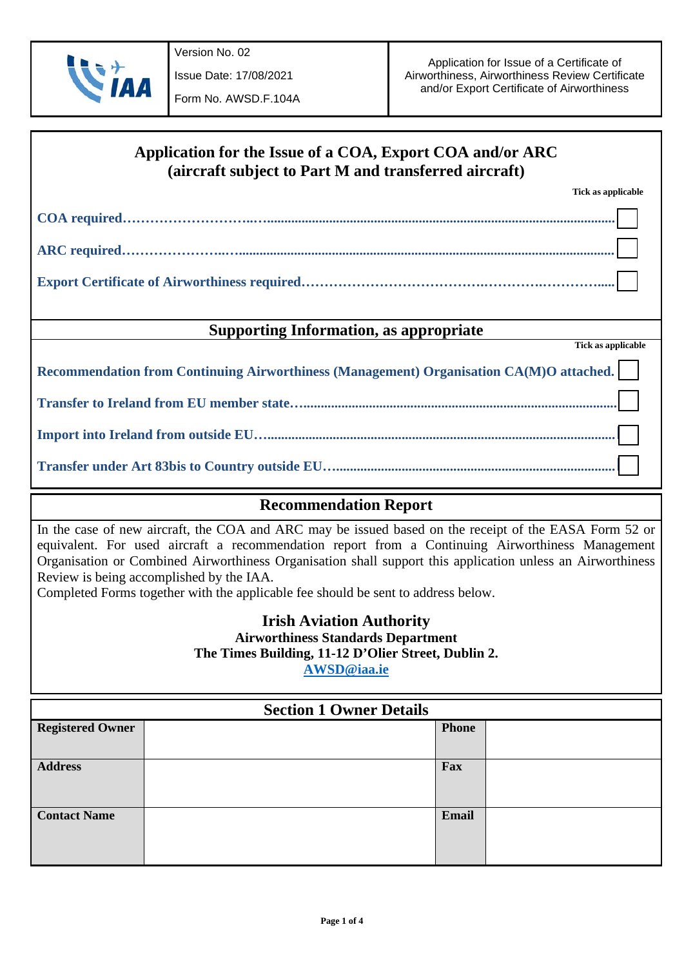

Issue Date: 17/08/2021

| Application for the Issue of a COA, Export COA and/or ARC<br>(aircraft subject to Part M and transferred aircraft) |  |  |  |  |
|--------------------------------------------------------------------------------------------------------------------|--|--|--|--|
| Tick as applicable                                                                                                 |  |  |  |  |
|                                                                                                                    |  |  |  |  |
|                                                                                                                    |  |  |  |  |
|                                                                                                                    |  |  |  |  |
| <b>Supporting Information, as appropriate</b><br>Tick as applicable                                                |  |  |  |  |
|                                                                                                                    |  |  |  |  |
| Recommendation from Continuing Airworthiness (Management) Organisation CA(M)O attached.                            |  |  |  |  |
|                                                                                                                    |  |  |  |  |
|                                                                                                                    |  |  |  |  |
|                                                                                                                    |  |  |  |  |

## **Recommendation Report**

In the case of new aircraft, the COA and ARC may be issued based on the receipt of the EASA Form 52 or equivalent. For used aircraft a recommendation report from a Continuing Airworthiness Management Organisation or Combined Airworthiness Organisation shall support this application unless an Airworthiness Review is being accomplished by the IAA.

Completed Forms together with the applicable fee should be sent to address below.

## **Irish Aviation Authority Airworthiness Standards Department The Times Building, 11-12 D'Olier Street, Dublin 2.**

**[AWSD@iaa.ie](mailto:AWSD@iaa.ie)**

| <b>Section 1 Owner Details</b> |  |              |  |  |
|--------------------------------|--|--------------|--|--|
| <b>Registered Owner</b>        |  | <b>Phone</b> |  |  |
|                                |  |              |  |  |
| <b>Address</b>                 |  | Fax          |  |  |
| <b>Contact Name</b>            |  | Email        |  |  |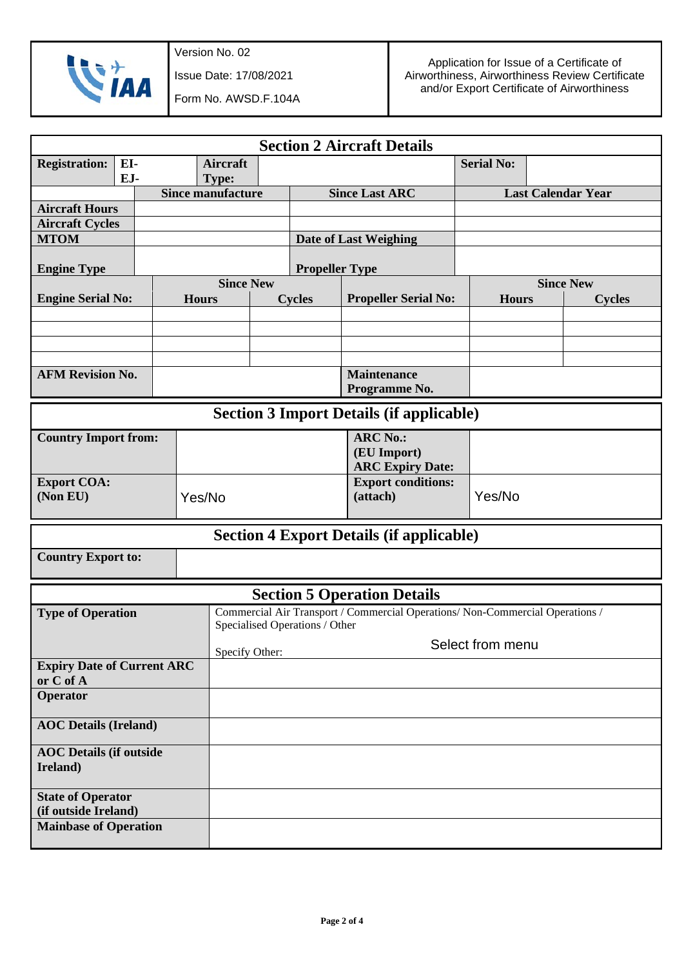

Version No. 02

Issue Date: 17/08/2021

Form No. AWSD.F.104A

| <b>Section 2 Aircraft Details</b>                |            |  |              |                                   |                       |                                                           |                                                                               |                   |                                   |  |
|--------------------------------------------------|------------|--|--------------|-----------------------------------|-----------------------|-----------------------------------------------------------|-------------------------------------------------------------------------------|-------------------|-----------------------------------|--|
| <b>Registration:</b>                             | EI-<br>EJ- |  |              | <b>Aircraft</b><br><b>Type:</b>   |                       |                                                           |                                                                               | <b>Serial No:</b> |                                   |  |
|                                                  |            |  |              | <b>Since manufacture</b>          | <b>Since Last ARC</b> |                                                           |                                                                               |                   | <b>Last Calendar Year</b>         |  |
| <b>Aircraft Hours</b>                            |            |  |              |                                   |                       |                                                           |                                                                               |                   |                                   |  |
| <b>Aircraft Cycles</b>                           |            |  |              |                                   |                       |                                                           |                                                                               |                   |                                   |  |
| <b>MTOM</b>                                      |            |  |              |                                   |                       |                                                           | <b>Date of Last Weighing</b>                                                  |                   |                                   |  |
| <b>Engine Type</b>                               |            |  |              | <b>Propeller Type</b>             |                       |                                                           |                                                                               |                   |                                   |  |
| <b>Engine Serial No:</b>                         |            |  | <b>Hours</b> | <b>Since New</b><br><b>Cycles</b> |                       |                                                           | <b>Propeller Serial No:</b>                                                   | <b>Hours</b>      | <b>Since New</b><br><b>Cycles</b> |  |
|                                                  |            |  |              |                                   |                       |                                                           |                                                                               |                   |                                   |  |
|                                                  |            |  |              |                                   |                       |                                                           |                                                                               |                   |                                   |  |
|                                                  |            |  |              |                                   |                       |                                                           |                                                                               |                   |                                   |  |
| <b>AFM Revision No.</b>                          |            |  |              |                                   |                       |                                                           | <b>Maintenance</b><br>Programme No.                                           |                   |                                   |  |
|                                                  |            |  |              |                                   |                       |                                                           | <b>Section 3 Import Details (if applicable)</b>                               |                   |                                   |  |
| <b>Country Import from:</b>                      |            |  |              |                                   |                       | <b>ARC No.:</b><br>(EU Import)<br><b>ARC Expiry Date:</b> |                                                                               |                   |                                   |  |
| <b>Export COA:</b><br>(Non EU)                   |            |  | Yes/No       |                                   |                       |                                                           | <b>Export conditions:</b><br>(attach)                                         | Yes/No            |                                   |  |
|                                                  |            |  |              |                                   |                       |                                                           | <b>Section 4 Export Details (if applicable)</b>                               |                   |                                   |  |
| <b>Country Export to:</b>                        |            |  |              |                                   |                       |                                                           |                                                                               |                   |                                   |  |
|                                                  |            |  |              |                                   |                       |                                                           | <b>Section 5 Operation Details</b>                                            |                   |                                   |  |
| <b>Type of Operation</b>                         |            |  |              |                                   |                       | Specialised Operations / Other                            | Commercial Air Transport / Commercial Operations/ Non-Commercial Operations / |                   |                                   |  |
|                                                  |            |  |              | Specify Other:                    |                       |                                                           |                                                                               | Select from menu  |                                   |  |
| <b>Expiry Date of Current ARC</b><br>or C of A   |            |  |              |                                   |                       |                                                           |                                                                               |                   |                                   |  |
| Operator                                         |            |  |              |                                   |                       |                                                           |                                                                               |                   |                                   |  |
| <b>AOC</b> Details (Ireland)                     |            |  |              |                                   |                       |                                                           |                                                                               |                   |                                   |  |
| <b>AOC</b> Details (if outside<br>Ireland)       |            |  |              |                                   |                       |                                                           |                                                                               |                   |                                   |  |
| <b>State of Operator</b><br>(if outside Ireland) |            |  |              |                                   |                       |                                                           |                                                                               |                   |                                   |  |
| <b>Mainbase of Operation</b>                     |            |  |              |                                   |                       |                                                           |                                                                               |                   |                                   |  |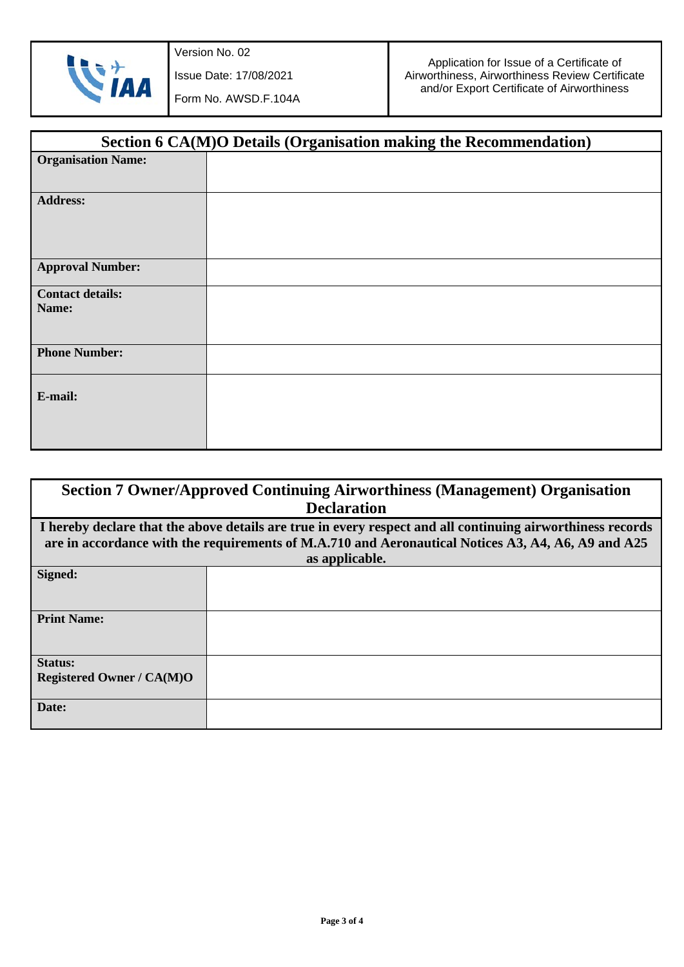

Issue Date: 17/08/2021

Form No. AWSD.F.104A

| Section 6 CA(M)O Details (Organisation making the Recommendation) |  |  |  |  |
|-------------------------------------------------------------------|--|--|--|--|
| <b>Organisation Name:</b>                                         |  |  |  |  |
| <b>Address:</b>                                                   |  |  |  |  |
| <b>Approval Number:</b>                                           |  |  |  |  |
| <b>Contact details:</b><br>Name:                                  |  |  |  |  |
| <b>Phone Number:</b>                                              |  |  |  |  |
| E-mail:                                                           |  |  |  |  |

| <b>Section 7 Owner/Approved Continuing Airworthiness (Management) Organisation</b>                 |                                                                                                            |  |  |  |  |
|----------------------------------------------------------------------------------------------------|------------------------------------------------------------------------------------------------------------|--|--|--|--|
| <b>Declaration</b>                                                                                 |                                                                                                            |  |  |  |  |
|                                                                                                    | I hereby declare that the above details are true in every respect and all continuing airworthiness records |  |  |  |  |
| are in accordance with the requirements of M.A.710 and Aeronautical Notices A3, A4, A6, A9 and A25 |                                                                                                            |  |  |  |  |
| as applicable.                                                                                     |                                                                                                            |  |  |  |  |
| Signed:                                                                                            |                                                                                                            |  |  |  |  |
|                                                                                                    |                                                                                                            |  |  |  |  |
|                                                                                                    |                                                                                                            |  |  |  |  |
| <b>Print Name:</b>                                                                                 |                                                                                                            |  |  |  |  |
|                                                                                                    |                                                                                                            |  |  |  |  |
| <b>Status:</b>                                                                                     |                                                                                                            |  |  |  |  |
|                                                                                                    |                                                                                                            |  |  |  |  |
| <b>Registered Owner / CA(M)O</b>                                                                   |                                                                                                            |  |  |  |  |
| Date:                                                                                              |                                                                                                            |  |  |  |  |
|                                                                                                    |                                                                                                            |  |  |  |  |
|                                                                                                    |                                                                                                            |  |  |  |  |